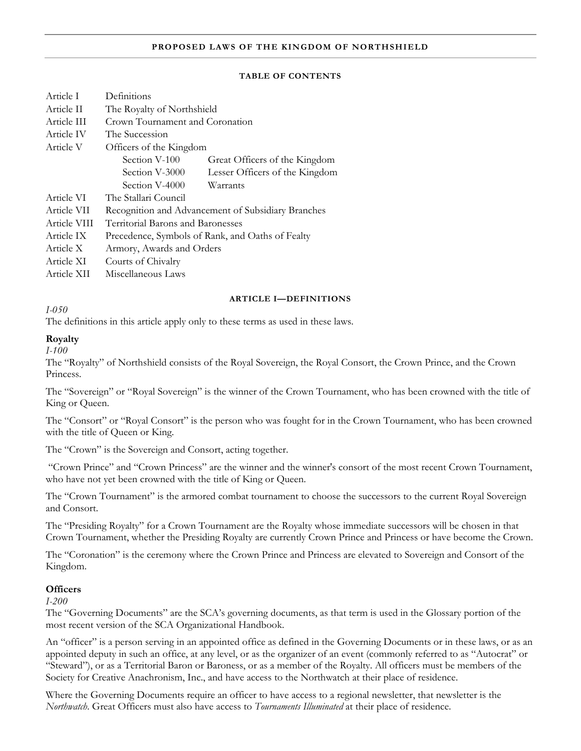#### **PROPOSED LAWS OF THE KINGDOM OF NORTHSHIELD**

#### **TABLE OF CONTENTS**

| Article I    | Definitions                                        |                                |  |  |  |
|--------------|----------------------------------------------------|--------------------------------|--|--|--|
| Article II   | The Royalty of Northshield                         |                                |  |  |  |
| Article III  | Crown Tournament and Coronation                    |                                |  |  |  |
| Article IV   | The Succession                                     |                                |  |  |  |
| Article V    | Officers of the Kingdom                            |                                |  |  |  |
|              | Section V-100                                      | Great Officers of the Kingdom  |  |  |  |
|              | Section V-3000                                     | Lesser Officers of the Kingdom |  |  |  |
|              | Section V-4000                                     | Warrants                       |  |  |  |
| Article VI   | The Stallari Council                               |                                |  |  |  |
| Article VII  | Recognition and Advancement of Subsidiary Branches |                                |  |  |  |
| Article VIII | Territorial Barons and Baronesses                  |                                |  |  |  |
| Article IX   | Precedence, Symbols of Rank, and Oaths of Fealty   |                                |  |  |  |
| Article X    | Armory, Awards and Orders                          |                                |  |  |  |
| Article XI   | Courts of Chivalry                                 |                                |  |  |  |
| Article XII  | Miscellaneous Laws                                 |                                |  |  |  |

#### **ARTICLE I—DEFINITIONS**

*I-050* 

The definitions in this article apply only to these terms as used in these laws.

#### **Royalty**

*I-100* 

The "Royalty" of Northshield consists of the Royal Sovereign, the Royal Consort, the Crown Prince, and the Crown Princess.

The "Sovereign" or "Royal Sovereign" is the winner of the Crown Tournament, who has been crowned with the title of King or Queen.

The "Consort" or "Royal Consort" is the person who was fought for in the Crown Tournament, who has been crowned with the title of Queen or King.

The "Crown" is the Sovereign and Consort, acting together.

 "Crown Prince" and "Crown Princess" are the winner and the winner's consort of the most recent Crown Tournament, who have not yet been crowned with the title of King or Queen.

The "Crown Tournament" is the armored combat tournament to choose the successors to the current Royal Sovereign and Consort.

The "Presiding Royalty" for a Crown Tournament are the Royalty whose immediate successors will be chosen in that Crown Tournament, whether the Presiding Royalty are currently Crown Prince and Princess or have become the Crown.

The "Coronation" is the ceremony where the Crown Prince and Princess are elevated to Sovereign and Consort of the Kingdom.

# **Officers**

*I-200* 

The "Governing Documents" are the SCA's governing documents, as that term is used in the Glossary portion of the most recent version of the SCA Organizational Handbook.

An "officer" is a person serving in an appointed office as defined in the Governing Documents or in these laws, or as an appointed deputy in such an office, at any level, or as the organizer of an event (commonly referred to as "Autocrat" or "Steward"), or as a Territorial Baron or Baroness, or as a member of the Royalty. All officers must be members of the Society for Creative Anachronism, Inc., and have access to the Northwatch at their place of residence.

Where the Governing Documents require an officer to have access to a regional newsletter, that newsletter is the *Northwatch*. Great Officers must also have access to *Tournaments Illuminated* at their place of residence.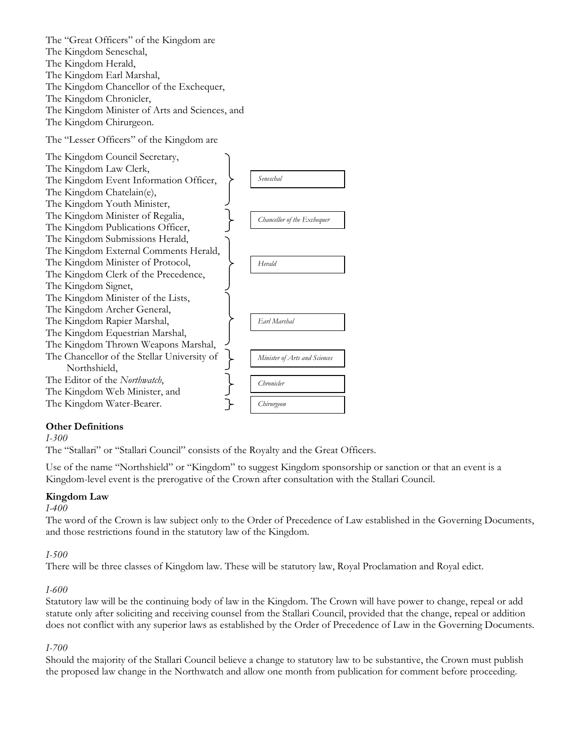

# **Other Definitions**

*I-300* 

The "Stallari" or "Stallari Council" consists of the Royalty and the Great Officers.

Use of the name "Northshield" or "Kingdom" to suggest Kingdom sponsorship or sanction or that an event is a Kingdom-level event is the prerogative of the Crown after consultation with the Stallari Council.

#### **Kingdom Law**

#### *I-400*

The word of the Crown is law subject only to the Order of Precedence of Law established in the Governing Documents, and those restrictions found in the statutory law of the Kingdom.

#### *I-500*

There will be three classes of Kingdom law. These will be statutory law, Royal Proclamation and Royal edict.

#### *I-600*

Statutory law will be the continuing body of law in the Kingdom. The Crown will have power to change, repeal or add statute only after soliciting and receiving counsel from the Stallari Council, provided that the change, repeal or addition does not conflict with any superior laws as established by the Order of Precedence of Law in the Governing Documents.

#### *I-700*

Should the majority of the Stallari Council believe a change to statutory law to be substantive, the Crown must publish the proposed law change in the Northwatch and allow one month from publication for comment before proceeding.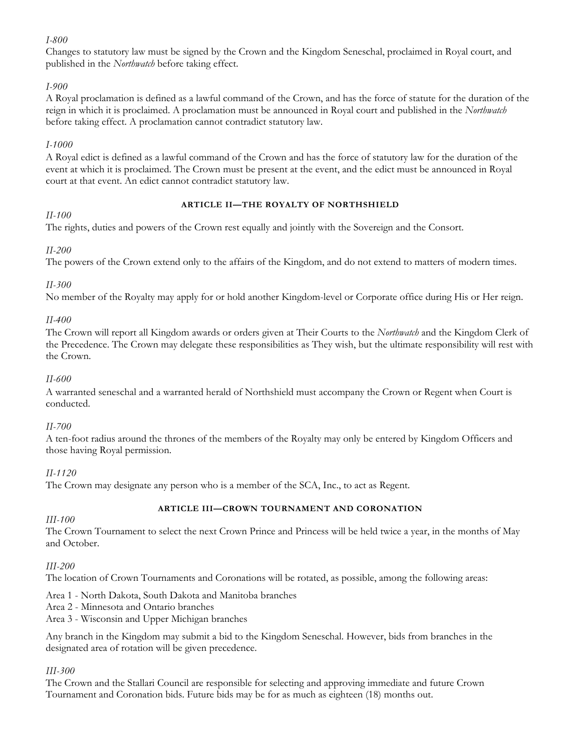# *I-800*

Changes to statutory law must be signed by the Crown and the Kingdom Seneschal, proclaimed in Royal court, and published in the *Northwatch* before taking effect.

# *I-900*

A Royal proclamation is defined as a lawful command of the Crown, and has the force of statute for the duration of the reign in which it is proclaimed. A proclamation must be announced in Royal court and published in the *Northwatch* before taking effect. A proclamation cannot contradict statutory law.

# *I-1000*

A Royal edict is defined as a lawful command of the Crown and has the force of statutory law for the duration of the event at which it is proclaimed. The Crown must be present at the event, and the edict must be announced in Royal court at that event. An edict cannot contradict statutory law.

# *II-100*

# **ARTICLE II—THE ROYALTY OF NORTHSHIELD**

The rights, duties and powers of the Crown rest equally and jointly with the Sovereign and the Consort.

# *II-200*

The powers of the Crown extend only to the affairs of the Kingdom, and do not extend to matters of modern times.

# *II-300*

No member of the Royalty may apply for or hold another Kingdom-level or Corporate office during His or Her reign.

# *II-400*

The Crown will report all Kingdom awards or orders given at Their Courts to the *Northwatch* and the Kingdom Clerk of the Precedence. The Crown may delegate these responsibilities as They wish, but the ultimate responsibility will rest with the Crown.

#### *II-600*

A warranted seneschal and a warranted herald of Northshield must accompany the Crown or Regent when Court is conducted.

#### *II-700*

A ten-foot radius around the thrones of the members of the Royalty may only be entered by Kingdom Officers and those having Royal permission.

#### *II-1120*

The Crown may designate any person who is a member of the SCA, Inc., to act as Regent.

# *III-100*

#### **ARTICLE III—CROWN TOURNAMENT AND CORONATION**

The Crown Tournament to select the next Crown Prince and Princess will be held twice a year, in the months of May and October.

# *III-200*

The location of Crown Tournaments and Coronations will be rotated, as possible, among the following areas:

#### Area 1 - North Dakota, South Dakota and Manitoba branches

Area 2 - Minnesota and Ontario branches

Area 3 - Wisconsin and Upper Michigan branches

Any branch in the Kingdom may submit a bid to the Kingdom Seneschal. However, bids from branches in the designated area of rotation will be given precedence.

# *III-300*

The Crown and the Stallari Council are responsible for selecting and approving immediate and future Crown Tournament and Coronation bids. Future bids may be for as much as eighteen (18) months out.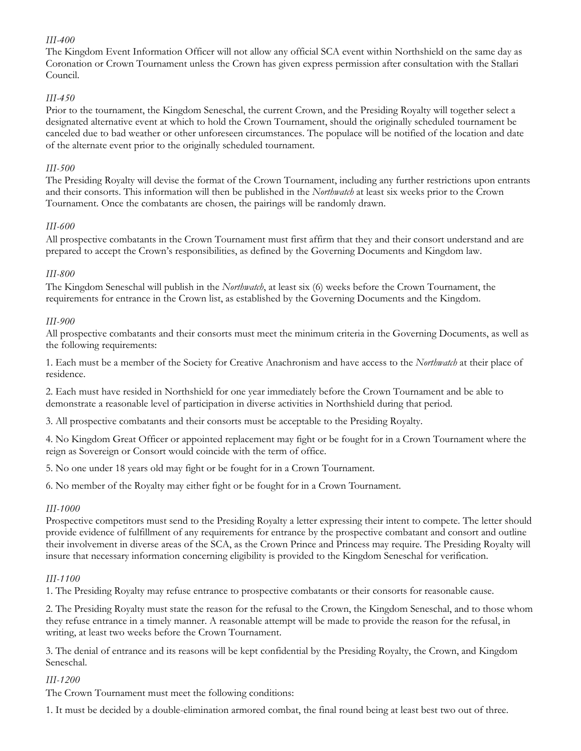# *III-400*

The Kingdom Event Information Officer will not allow any official SCA event within Northshield on the same day as Coronation or Crown Tournament unless the Crown has given express permission after consultation with the Stallari Council.

# *III-450*

Prior to the tournament, the Kingdom Seneschal, the current Crown, and the Presiding Royalty will together select a designated alternative event at which to hold the Crown Tournament, should the originally scheduled tournament be canceled due to bad weather or other unforeseen circumstances. The populace will be notified of the location and date of the alternate event prior to the originally scheduled tournament.

#### *III-500*

The Presiding Royalty will devise the format of the Crown Tournament, including any further restrictions upon entrants and their consorts. This information will then be published in the *Northwatch* at least six weeks prior to the Crown Tournament. Once the combatants are chosen, the pairings will be randomly drawn.

# *III-600*

All prospective combatants in the Crown Tournament must first affirm that they and their consort understand and are prepared to accept the Crown's responsibilities, as defined by the Governing Documents and Kingdom law.

# *III-800*

The Kingdom Seneschal will publish in the *Northwatch*, at least six (6) weeks before the Crown Tournament, the requirements for entrance in the Crown list, as established by the Governing Documents and the Kingdom.

# *III-900*

All prospective combatants and their consorts must meet the minimum criteria in the Governing Documents, as well as the following requirements:

1. Each must be a member of the Society for Creative Anachronism and have access to the *Northwatch* at their place of residence.

2. Each must have resided in Northshield for one year immediately before the Crown Tournament and be able to demonstrate a reasonable level of participation in diverse activities in Northshield during that period.

3. All prospective combatants and their consorts must be acceptable to the Presiding Royalty.

4. No Kingdom Great Officer or appointed replacement may fight or be fought for in a Crown Tournament where the reign as Sovereign or Consort would coincide with the term of office.

5. No one under 18 years old may fight or be fought for in a Crown Tournament.

6. No member of the Royalty may either fight or be fought for in a Crown Tournament.

#### *III-1000*

Prospective competitors must send to the Presiding Royalty a letter expressing their intent to compete. The letter should provide evidence of fulfillment of any requirements for entrance by the prospective combatant and consort and outline their involvement in diverse areas of the SCA, as the Crown Prince and Princess may require. The Presiding Royalty will insure that necessary information concerning eligibility is provided to the Kingdom Seneschal for verification.

# *III-1100*

1. The Presiding Royalty may refuse entrance to prospective combatants or their consorts for reasonable cause.

2. The Presiding Royalty must state the reason for the refusal to the Crown, the Kingdom Seneschal, and to those whom they refuse entrance in a timely manner. A reasonable attempt will be made to provide the reason for the refusal, in writing, at least two weeks before the Crown Tournament.

3. The denial of entrance and its reasons will be kept confidential by the Presiding Royalty, the Crown, and Kingdom Seneschal.

#### *III-1200*

The Crown Tournament must meet the following conditions:

1. It must be decided by a double-elimination armored combat, the final round being at least best two out of three.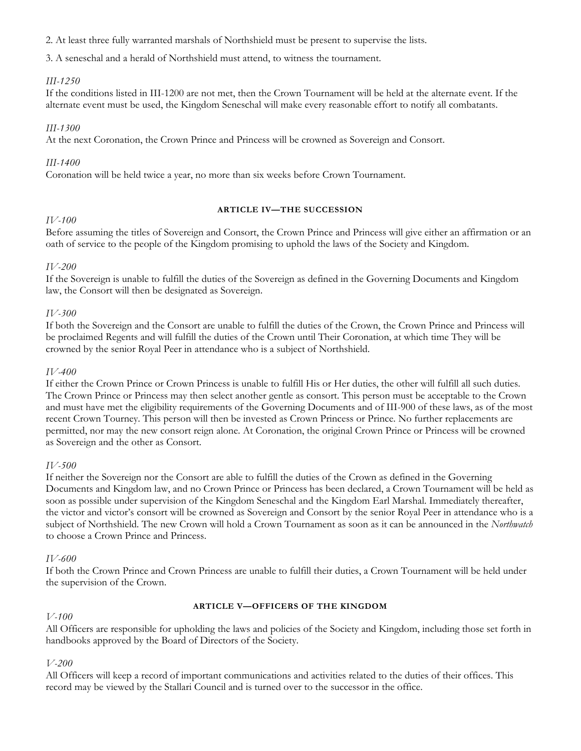2. At least three fully warranted marshals of Northshield must be present to supervise the lists.

3. A seneschal and a herald of Northshield must attend, to witness the tournament.

# *III-1250*

If the conditions listed in III-1200 are not met, then the Crown Tournament will be held at the alternate event. If the alternate event must be used, the Kingdom Seneschal will make every reasonable effort to notify all combatants.

#### *III-1300*

At the next Coronation, the Crown Prince and Princess will be crowned as Sovereign and Consort.

#### *III-1400*

Coronation will be held twice a year, no more than six weeks before Crown Tournament.

#### **ARTICLE IV—THE SUCCESSION**

# *IV-100*

Before assuming the titles of Sovereign and Consort, the Crown Prince and Princess will give either an affirmation or an oath of service to the people of the Kingdom promising to uphold the laws of the Society and Kingdom.

# *IV-200*

If the Sovereign is unable to fulfill the duties of the Sovereign as defined in the Governing Documents and Kingdom law, the Consort will then be designated as Sovereign.

# *IV-300*

If both the Sovereign and the Consort are unable to fulfill the duties of the Crown, the Crown Prince and Princess will be proclaimed Regents and will fulfill the duties of the Crown until Their Coronation, at which time They will be crowned by the senior Royal Peer in attendance who is a subject of Northshield.

#### *IV-400*

If either the Crown Prince or Crown Princess is unable to fulfill His or Her duties, the other will fulfill all such duties. The Crown Prince or Princess may then select another gentle as consort. This person must be acceptable to the Crown and must have met the eligibility requirements of the Governing Documents and of III-900 of these laws, as of the most recent Crown Tourney. This person will then be invested as Crown Princess or Prince. No further replacements are permitted, nor may the new consort reign alone. At Coronation, the original Crown Prince or Princess will be crowned as Sovereign and the other as Consort.

#### *IV-500*

If neither the Sovereign nor the Consort are able to fulfill the duties of the Crown as defined in the Governing Documents and Kingdom law, and no Crown Prince or Princess has been declared, a Crown Tournament will be held as soon as possible under supervision of the Kingdom Seneschal and the Kingdom Earl Marshal. Immediately thereafter, the victor and victor's consort will be crowned as Sovereign and Consort by the senior Royal Peer in attendance who is a subject of Northshield. The new Crown will hold a Crown Tournament as soon as it can be announced in the *Northwatch* to choose a Crown Prince and Princess.

#### *IV-600*

If both the Crown Prince and Crown Princess are unable to fulfill their duties, a Crown Tournament will be held under the supervision of the Crown.

#### *V-100*

#### **ARTICLE V—OFFICERS OF THE KINGDOM**

All Officers are responsible for upholding the laws and policies of the Society and Kingdom, including those set forth in handbooks approved by the Board of Directors of the Society.

#### *V-200*

All Officers will keep a record of important communications and activities related to the duties of their offices. This record may be viewed by the Stallari Council and is turned over to the successor in the office.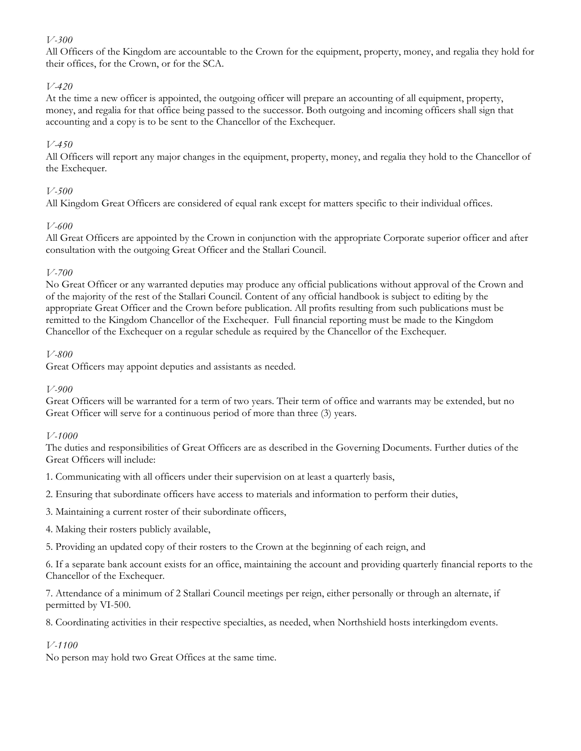# *V-300*

All Officers of the Kingdom are accountable to the Crown for the equipment, property, money, and regalia they hold for their offices, for the Crown, or for the SCA.

# *V-420*

At the time a new officer is appointed, the outgoing officer will prepare an accounting of all equipment, property, money, and regalia for that office being passed to the successor. Both outgoing and incoming officers shall sign that accounting and a copy is to be sent to the Chancellor of the Exchequer.

#### *V-450*

All Officers will report any major changes in the equipment, property, money, and regalia they hold to the Chancellor of the Exchequer.

# *V-500*

All Kingdom Great Officers are considered of equal rank except for matters specific to their individual offices.

# *V-600*

All Great Officers are appointed by the Crown in conjunction with the appropriate Corporate superior officer and after consultation with the outgoing Great Officer and the Stallari Council.

# *V-700*

No Great Officer or any warranted deputies may produce any official publications without approval of the Crown and of the majority of the rest of the Stallari Council. Content of any official handbook is subject to editing by the appropriate Great Officer and the Crown before publication. All profits resulting from such publications must be remitted to the Kingdom Chancellor of the Exchequer. Full financial reporting must be made to the Kingdom Chancellor of the Exchequer on a regular schedule as required by the Chancellor of the Exchequer.

#### *V-800*

Great Officers may appoint deputies and assistants as needed.

#### *V-900*

Great Officers will be warranted for a term of two years. Their term of office and warrants may be extended, but no Great Officer will serve for a continuous period of more than three (3) years.

#### *V-1000*

The duties and responsibilities of Great Officers are as described in the Governing Documents. Further duties of the Great Officers will include:

1. Communicating with all officers under their supervision on at least a quarterly basis,

2. Ensuring that subordinate officers have access to materials and information to perform their duties,

3. Maintaining a current roster of their subordinate officers,

4. Making their rosters publicly available,

5. Providing an updated copy of their rosters to the Crown at the beginning of each reign, and

6. If a separate bank account exists for an office, maintaining the account and providing quarterly financial reports to the Chancellor of the Exchequer.

7. Attendance of a minimum of 2 Stallari Council meetings per reign, either personally or through an alternate, if permitted by VI-500.

8. Coordinating activities in their respective specialties, as needed, when Northshield hosts interkingdom events.

# *V-1100*

No person may hold two Great Offices at the same time.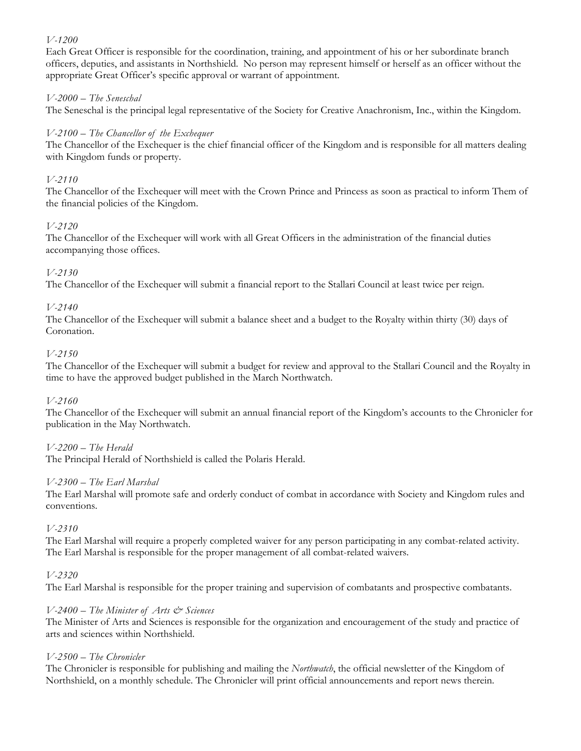# *V-1200*

Each Great Officer is responsible for the coordination, training, and appointment of his or her subordinate branch officers, deputies, and assistants in Northshield. No person may represent himself or herself as an officer without the appropriate Great Officer's specific approval or warrant of appointment.

# *V-2000 – The Seneschal*

The Seneschal is the principal legal representative of the Society for Creative Anachronism, Inc., within the Kingdom.

#### *V-2100 – The Chancellor of the Exchequer*

The Chancellor of the Exchequer is the chief financial officer of the Kingdom and is responsible for all matters dealing with Kingdom funds or property.

#### *V-2110*

The Chancellor of the Exchequer will meet with the Crown Prince and Princess as soon as practical to inform Them of the financial policies of the Kingdom.

# *V-2120*

The Chancellor of the Exchequer will work with all Great Officers in the administration of the financial duties accompanying those offices.

# *V-2130*

The Chancellor of the Exchequer will submit a financial report to the Stallari Council at least twice per reign.

# *V-2140*

The Chancellor of the Exchequer will submit a balance sheet and a budget to the Royalty within thirty (30) days of Coronation.

#### *V-2150*

The Chancellor of the Exchequer will submit a budget for review and approval to the Stallari Council and the Royalty in time to have the approved budget published in the March Northwatch.

#### *V-2160*

The Chancellor of the Exchequer will submit an annual financial report of the Kingdom's accounts to the Chronicler for publication in the May Northwatch.

#### *V-2200 – The Herald*

The Principal Herald of Northshield is called the Polaris Herald.

#### *V-2300 – The Earl Marshal*

The Earl Marshal will promote safe and orderly conduct of combat in accordance with Society and Kingdom rules and conventions.

#### *V-2310*

The Earl Marshal will require a properly completed waiver for any person participating in any combat-related activity. The Earl Marshal is responsible for the proper management of all combat-related waivers.

#### *V-2320*

The Earl Marshal is responsible for the proper training and supervision of combatants and prospective combatants.

#### *V-2400 – The Minister of Arts & Sciences*

The Minister of Arts and Sciences is responsible for the organization and encouragement of the study and practice of arts and sciences within Northshield.

#### *V-2500 – The Chronicler*

The Chronicler is responsible for publishing and mailing the *Northwatch*, the official newsletter of the Kingdom of Northshield, on a monthly schedule. The Chronicler will print official announcements and report news therein.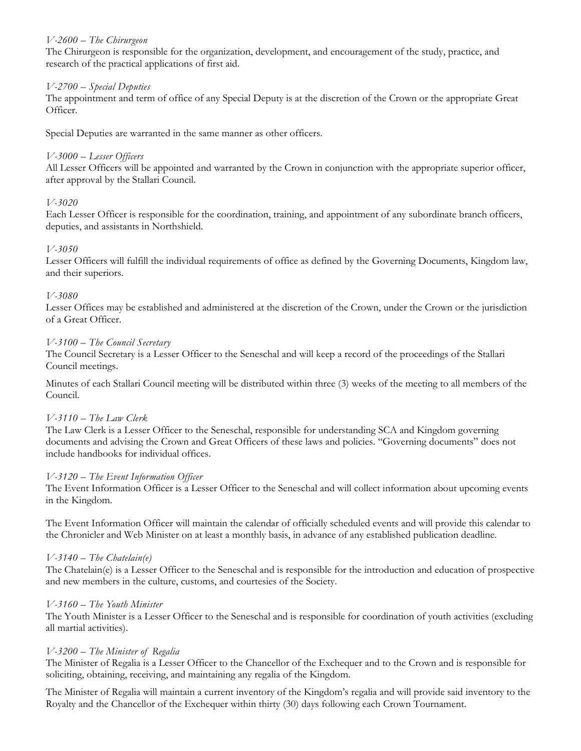#### *V-2600 – The Chirurgeon*

The Chirurgeon is responsible for the organization, development, and encouragement of the study, practice, and research of the practical applications of first aid.

# *V-2700 – Special Deputies*

The appointment and term of office of any Special Deputy is at the discretion of the Crown or the appropriate Great Officer.

Special Deputies are warranted in the same manner as other officers.

# *V-3000 – Lesser Officers*

All Lesser Officers will be appointed and warranted by the Crown in conjunction with the appropriate superior officer, after approval by the Stallari Council.

# *V-3020*

Each Lesser Officer is responsible for the coordination, training, and appointment of any subordinate branch officers, deputies, and assistants in Northshield.

# *V-3050*

Lesser Officers will fulfill the individual requirements of office as defined by the Governing Documents, Kingdom law, and their superiors.

# *V-3080*

Lesser Offices may be established and administered at the discretion of the Crown, under the Crown or the jurisdiction of a Great Officer.

# *V-3100 – The Council Secretary*

The Council Secretary is a Lesser Officer to the Seneschal and will keep a record of the proceedings of the Stallari Council meetings.

Minutes of each Stallari Council meeting will be distributed within three (3) weeks of the meeting to all members of the Council.

#### *V-3110 – The Law Clerk*

The Law Clerk is a Lesser Officer to the Seneschal, responsible for understanding SCA and Kingdom governing documents and advising the Crown and Great Officers of these laws and policies. "Governing documents" does not include handbooks for individual offices.

#### *V-3120 – The Event Information Officer*

The Event Information Officer is a Lesser Officer to the Seneschal and will collect information about upcoming events in the Kingdom.

The Event Information Officer will maintain the calendar of officially scheduled events and will provide this calendar to the Chronicler and Web Minister on at least a monthly basis, in advance of any established publication deadline.

# *V-3140 – The Chatelain(e)*

The Chatelain(e) is a Lesser Officer to the Seneschal and is responsible for the introduction and education of prospective and new members in the culture, customs, and courtesies of the Society.

#### *V-3160 – The Youth Minister*

The Youth Minister is a Lesser Officer to the Seneschal and is responsible for coordination of youth activities (excluding all martial activities).

#### *V-3200 – The Minister of Regalia*

The Minister of Regalia is a Lesser Officer to the Chancellor of the Exchequer and to the Crown and is responsible for soliciting, obtaining, receiving, and maintaining any regalia of the Kingdom.

The Minister of Regalia will maintain a current inventory of the Kingdom's regalia and will provide said inventory to the Royalty and the Chancellor of the Exchequer within thirty (30) days following each Crown Tournament.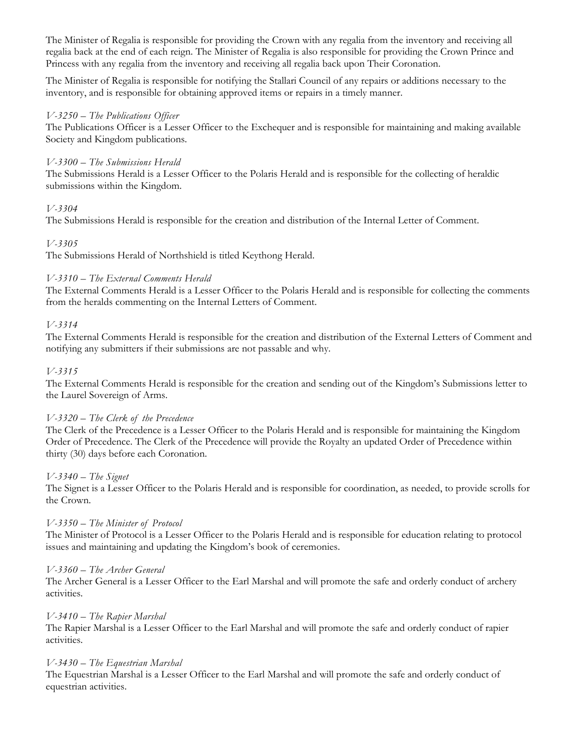The Minister of Regalia is responsible for providing the Crown with any regalia from the inventory and receiving all regalia back at the end of each reign. The Minister of Regalia is also responsible for providing the Crown Prince and Princess with any regalia from the inventory and receiving all regalia back upon Their Coronation.

The Minister of Regalia is responsible for notifying the Stallari Council of any repairs or additions necessary to the inventory, and is responsible for obtaining approved items or repairs in a timely manner.

#### *V-3250 – The Publications Officer*

The Publications Officer is a Lesser Officer to the Exchequer and is responsible for maintaining and making available Society and Kingdom publications.

#### *V-3300 – The Submissions Herald*

The Submissions Herald is a Lesser Officer to the Polaris Herald and is responsible for the collecting of heraldic submissions within the Kingdom.

# *V-3304*

The Submissions Herald is responsible for the creation and distribution of the Internal Letter of Comment.

# *V-3305*

The Submissions Herald of Northshield is titled Keythong Herald.

#### *V-3310 – The External Comments Herald*

The External Comments Herald is a Lesser Officer to the Polaris Herald and is responsible for collecting the comments from the heralds commenting on the Internal Letters of Comment.

# *V-3314*

The External Comments Herald is responsible for the creation and distribution of the External Letters of Comment and notifying any submitters if their submissions are not passable and why.

#### *V-3315*

The External Comments Herald is responsible for the creation and sending out of the Kingdom's Submissions letter to the Laurel Sovereign of Arms.

#### *V-3320 – The Clerk of the Precedence*

The Clerk of the Precedence is a Lesser Officer to the Polaris Herald and is responsible for maintaining the Kingdom Order of Precedence. The Clerk of the Precedence will provide the Royalty an updated Order of Precedence within thirty (30) days before each Coronation.

#### *V-3340 – The Signet*

The Signet is a Lesser Officer to the Polaris Herald and is responsible for coordination, as needed, to provide scrolls for the Crown.

#### *V-3350 – The Minister of Protocol*

The Minister of Protocol is a Lesser Officer to the Polaris Herald and is responsible for education relating to protocol issues and maintaining and updating the Kingdom's book of ceremonies.

#### *V-3360 – The Archer General*

The Archer General is a Lesser Officer to the Earl Marshal and will promote the safe and orderly conduct of archery activities.

#### *V-3410 – The Rapier Marshal*

The Rapier Marshal is a Lesser Officer to the Earl Marshal and will promote the safe and orderly conduct of rapier activities.

#### *V-3430 – The Equestrian Marshal*

The Equestrian Marshal is a Lesser Officer to the Earl Marshal and will promote the safe and orderly conduct of equestrian activities.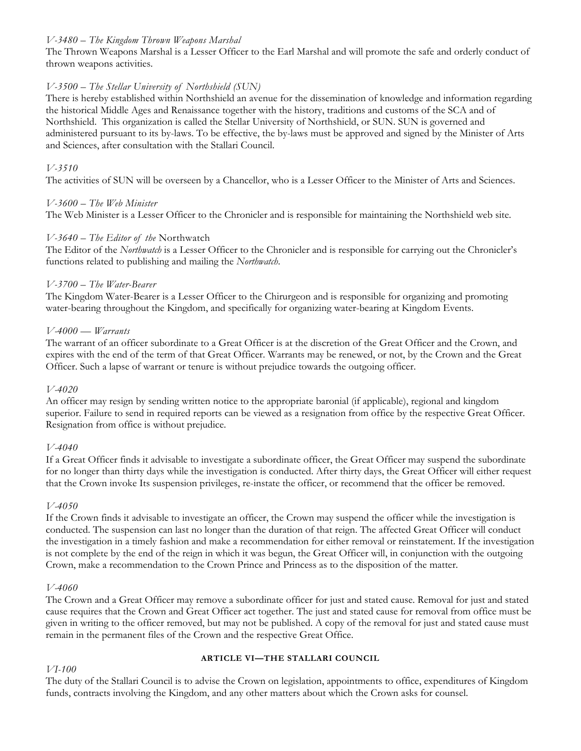#### *V-3480 – The Kingdom Thrown Weapons Marshal*

The Thrown Weapons Marshal is a Lesser Officer to the Earl Marshal and will promote the safe and orderly conduct of thrown weapons activities.

#### *V-3500 – The Stellar University of Northshield (SUN)*

There is hereby established within Northshield an avenue for the dissemination of knowledge and information regarding the historical Middle Ages and Renaissance together with the history, traditions and customs of the SCA and of Northshield. This organization is called the Stellar University of Northshield, or SUN. SUN is governed and administered pursuant to its by-laws. To be effective, the by-laws must be approved and signed by the Minister of Arts and Sciences, after consultation with the Stallari Council.

#### *V-3510*

The activities of SUN will be overseen by a Chancellor, who is a Lesser Officer to the Minister of Arts and Sciences.

#### *V-3600 – The Web Minister*

The Web Minister is a Lesser Officer to the Chronicler and is responsible for maintaining the Northshield web site.

#### *V-3640 – The Editor of the* Northwatch

The Editor of the *Northwatch* is a Lesser Officer to the Chronicler and is responsible for carrying out the Chronicler's functions related to publishing and mailing the *Northwatch*.

#### *V-3700 – The Water-Bearer*

The Kingdom Water-Bearer is a Lesser Officer to the Chirurgeon and is responsible for organizing and promoting water-bearing throughout the Kingdom, and specifically for organizing water-bearing at Kingdom Events.

#### *V-4000 — Warrants*

The warrant of an officer subordinate to a Great Officer is at the discretion of the Great Officer and the Crown, and expires with the end of the term of that Great Officer. Warrants may be renewed, or not, by the Crown and the Great Officer. Such a lapse of warrant or tenure is without prejudice towards the outgoing officer.

#### *V-4020*

An officer may resign by sending written notice to the appropriate baronial (if applicable), regional and kingdom superior. Failure to send in required reports can be viewed as a resignation from office by the respective Great Officer. Resignation from office is without prejudice.

#### *V-4040*

If a Great Officer finds it advisable to investigate a subordinate officer, the Great Officer may suspend the subordinate for no longer than thirty days while the investigation is conducted. After thirty days, the Great Officer will either request that the Crown invoke Its suspension privileges, re-instate the officer, or recommend that the officer be removed.

#### *V-4050*

If the Crown finds it advisable to investigate an officer, the Crown may suspend the officer while the investigation is conducted. The suspension can last no longer than the duration of that reign. The affected Great Officer will conduct the investigation in a timely fashion and make a recommendation for either removal or reinstatement. If the investigation is not complete by the end of the reign in which it was begun, the Great Officer will, in conjunction with the outgoing Crown, make a recommendation to the Crown Prince and Princess as to the disposition of the matter.

#### *V-4060*

The Crown and a Great Officer may remove a subordinate officer for just and stated cause. Removal for just and stated cause requires that the Crown and Great Officer act together. The just and stated cause for removal from office must be given in writing to the officer removed, but may not be published. A copy of the removal for just and stated cause must remain in the permanent files of the Crown and the respective Great Office.

#### **ARTICLE VI—THE STALLARI COUNCIL**

*VI-100* 

The duty of the Stallari Council is to advise the Crown on legislation, appointments to office, expenditures of Kingdom funds, contracts involving the Kingdom, and any other matters about which the Crown asks for counsel.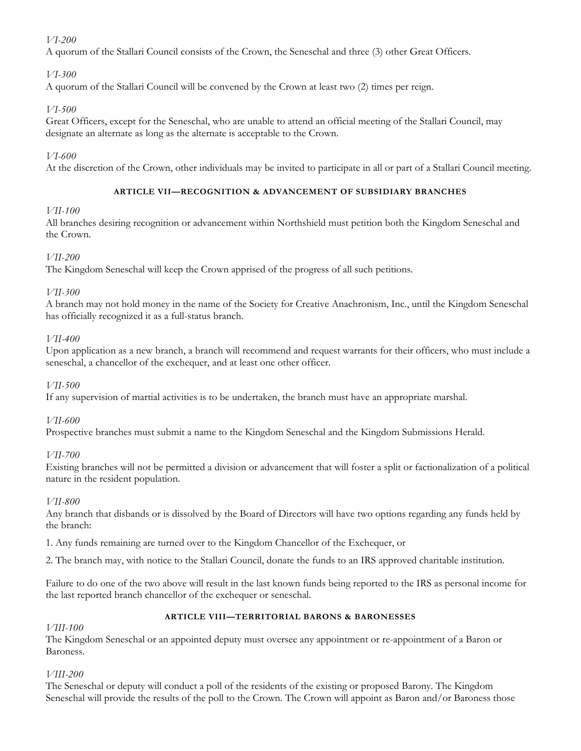# *VI-200*

A quorum of the Stallari Council consists of the Crown, the Seneschal and three (3) other Great Officers.

# *VI-300*

A quorum of the Stallari Council will be convened by the Crown at least two (2) times per reign.

# *VI-500*

Great Officers, except for the Seneschal, who are unable to attend an official meeting of the Stallari Council, may designate an alternate as long as the alternate is acceptable to the Crown.

# *VI-600*

At the discretion of the Crown, other individuals may be invited to participate in all or part of a Stallari Council meeting.

# **ARTICLE VII—RECOGNITION & ADVANCEMENT OF SUBSIDIARY BRANCHES**

# *VII-100*

All branches desiring recognition or advancement within Northshield must petition both the Kingdom Seneschal and the Crown.

# *VII-200*

The Kingdom Seneschal will keep the Crown apprised of the progress of all such petitions.

# *VII-300*

A branch may not hold money in the name of the Society for Creative Anachronism, Inc., until the Kingdom Seneschal has officially recognized it as a full-status branch.

# *VII-400*

Upon application as a new branch, a branch will recommend and request warrants for their officers, who must include a seneschal, a chancellor of the exchequer, and at least one other officer.

# *VII-500*

If any supervision of martial activities is to be undertaken, the branch must have an appropriate marshal.

# *VII-600*

Prospective branches must submit a name to the Kingdom Seneschal and the Kingdom Submissions Herald.

#### *VII-700*

Existing branches will not be permitted a division or advancement that will foster a split or factionalization of a political nature in the resident population.

#### *VII-800*

Any branch that disbands or is dissolved by the Board of Directors will have two options regarding any funds held by the branch:

1. Any funds remaining are turned over to the Kingdom Chancellor of the Exchequer, or

2. The branch may, with notice to the Stallari Council, donate the funds to an IRS approved charitable institution.

Failure to do one of the two above will result in the last known funds being reported to the IRS as personal income for the last reported branch chancellor of the exchequer or seneschal.

#### **ARTICLE VIII—TERRITORIAL BARONS & BARONESSES**

#### *VIII-100*

The Kingdom Seneschal or an appointed deputy must oversee any appointment or re-appointment of a Baron or Baroness.

#### *VIII-200*

The Seneschal or deputy will conduct a poll of the residents of the existing or proposed Barony. The Kingdom Seneschal will provide the results of the poll to the Crown. The Crown will appoint as Baron and/or Baroness those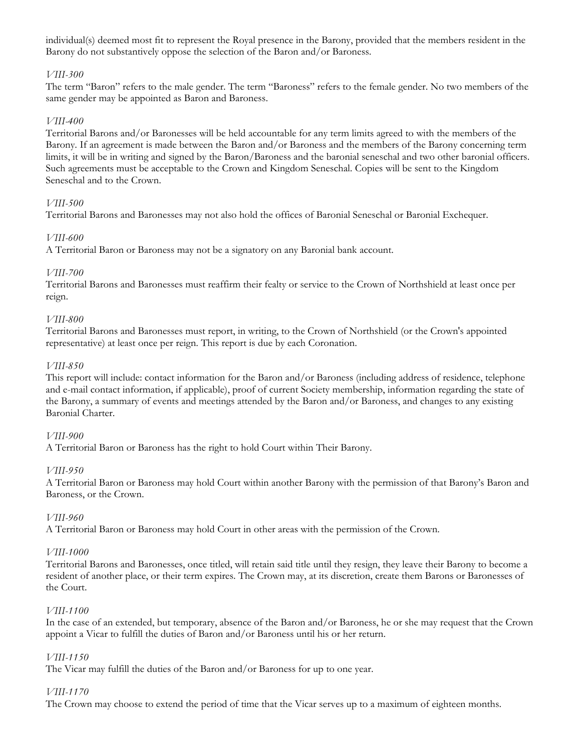individual(s) deemed most fit to represent the Royal presence in the Barony, provided that the members resident in the Barony do not substantively oppose the selection of the Baron and/or Baroness.

#### *VIII-300*

The term "Baron" refers to the male gender. The term "Baroness" refers to the female gender. No two members of the same gender may be appointed as Baron and Baroness.

#### *VIII-400*

Territorial Barons and/or Baronesses will be held accountable for any term limits agreed to with the members of the Barony. If an agreement is made between the Baron and/or Baroness and the members of the Barony concerning term limits, it will be in writing and signed by the Baron/Baroness and the baronial seneschal and two other baronial officers. Such agreements must be acceptable to the Crown and Kingdom Seneschal. Copies will be sent to the Kingdom Seneschal and to the Crown.

# *VIII-500*

Territorial Barons and Baronesses may not also hold the offices of Baronial Seneschal or Baronial Exchequer.

#### *VIII-600*

A Territorial Baron or Baroness may not be a signatory on any Baronial bank account.

#### *VIII-700*

Territorial Barons and Baronesses must reaffirm their fealty or service to the Crown of Northshield at least once per reign.

#### *VIII-800*

Territorial Barons and Baronesses must report, in writing, to the Crown of Northshield (or the Crown's appointed representative) at least once per reign. This report is due by each Coronation.

#### *VIII-850*

This report will include: contact information for the Baron and/or Baroness (including address of residence, telephone and e-mail contact information, if applicable), proof of current Society membership, information regarding the state of the Barony, a summary of events and meetings attended by the Baron and/or Baroness, and changes to any existing Baronial Charter.

#### *VIII-900*

A Territorial Baron or Baroness has the right to hold Court within Their Barony.

#### *VIII-950*

A Territorial Baron or Baroness may hold Court within another Barony with the permission of that Barony's Baron and Baroness, or the Crown.

#### *VIII-960*

A Territorial Baron or Baroness may hold Court in other areas with the permission of the Crown.

#### *VIII-1000*

Territorial Barons and Baronesses, once titled, will retain said title until they resign, they leave their Barony to become a resident of another place, or their term expires. The Crown may, at its discretion, create them Barons or Baronesses of the Court.

#### *VIII-1100*

In the case of an extended, but temporary, absence of the Baron and/or Baroness, he or she may request that the Crown appoint a Vicar to fulfill the duties of Baron and/or Baroness until his or her return.

#### *VIII-1150*

The Vicar may fulfill the duties of the Baron and/or Baroness for up to one year.

#### *VIII-1170*

The Crown may choose to extend the period of time that the Vicar serves up to a maximum of eighteen months.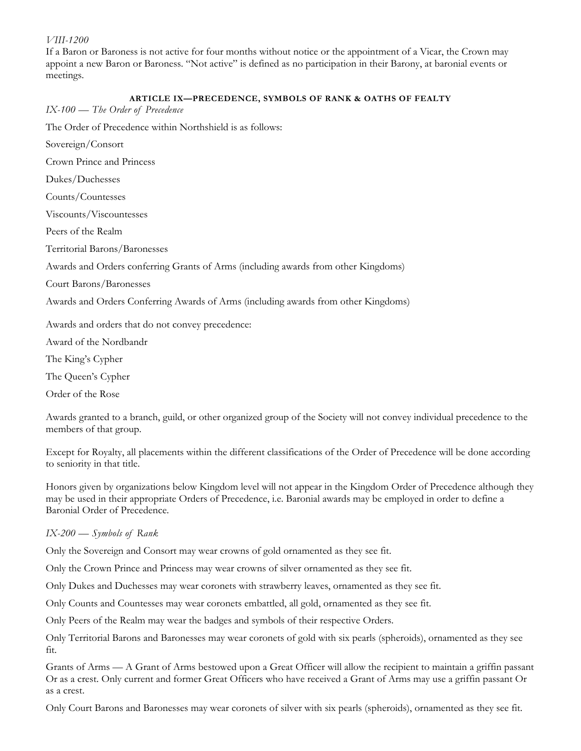#### *VIII-1200*

If a Baron or Baroness is not active for four months without notice or the appointment of a Vicar, the Crown may appoint a new Baron or Baroness. "Not active" is defined as no participation in their Barony, at baronial events or meetings.

#### **ARTICLE IX—PRECEDENCE, SYMBOLS OF RANK & OATHS OF FEALTY**

| $IX-100$ — The Order of Precedence |  |  |  |  |
|------------------------------------|--|--|--|--|
|------------------------------------|--|--|--|--|

The Order of Precedence within Northshield is as follows:

Sovereign/Consort

Crown Prince and Princess

Dukes/Duchesses

Counts/Countesses

Viscounts/Viscountesses

Peers of the Realm

Territorial Barons/Baronesses

Awards and Orders conferring Grants of Arms (including awards from other Kingdoms)

Court Barons/Baronesses

Awards and Orders Conferring Awards of Arms (including awards from other Kingdoms)

Awards and orders that do not convey precedence:

Award of the Nordbandr

The King's Cypher

The Queen's Cypher

Order of the Rose

Awards granted to a branch, guild, or other organized group of the Society will not convey individual precedence to the members of that group.

Except for Royalty, all placements within the different classifications of the Order of Precedence will be done according to seniority in that title.

Honors given by organizations below Kingdom level will not appear in the Kingdom Order of Precedence although they may be used in their appropriate Orders of Precedence, i.e. Baronial awards may be employed in order to define a Baronial Order of Precedence.

#### *IX-200 — Symbols of Rank*

Only the Sovereign and Consort may wear crowns of gold ornamented as they see fit.

Only the Crown Prince and Princess may wear crowns of silver ornamented as they see fit.

Only Dukes and Duchesses may wear coronets with strawberry leaves, ornamented as they see fit.

Only Counts and Countesses may wear coronets embattled, all gold, ornamented as they see fit.

Only Peers of the Realm may wear the badges and symbols of their respective Orders.

Only Territorial Barons and Baronesses may wear coronets of gold with six pearls (spheroids), ornamented as they see fit.

Grants of Arms — A Grant of Arms bestowed upon a Great Officer will allow the recipient to maintain a griffin passant Or as a crest. Only current and former Great Officers who have received a Grant of Arms may use a griffin passant Or as a crest.

Only Court Barons and Baronesses may wear coronets of silver with six pearls (spheroids), ornamented as they see fit.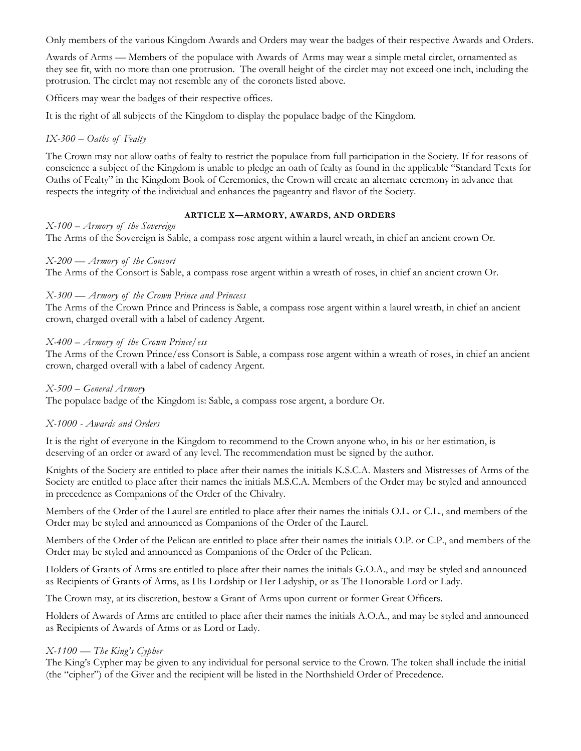Only members of the various Kingdom Awards and Orders may wear the badges of their respective Awards and Orders.

Awards of Arms — Members of the populace with Awards of Arms may wear a simple metal circlet, ornamented as they see fit, with no more than one protrusion. The overall height of the circlet may not exceed one inch, including the protrusion. The circlet may not resemble any of the coronets listed above.

Officers may wear the badges of their respective offices.

It is the right of all subjects of the Kingdom to display the populace badge of the Kingdom.

#### *IX-300 – Oaths of Fealty*

The Crown may not allow oaths of fealty to restrict the populace from full participation in the Society. If for reasons of conscience a subject of the Kingdom is unable to pledge an oath of fealty as found in the applicable "Standard Texts for Oaths of Fealty" in the Kingdom Book of Ceremonies, the Crown will create an alternate ceremony in advance that respects the integrity of the individual and enhances the pageantry and flavor of the Society.

#### **ARTICLE X—ARMORY, AWARDS, AND ORDERS**

#### *X-100 – Armory of the Sovereign*

The Arms of the Sovereign is Sable, a compass rose argent within a laurel wreath, in chief an ancient crown Or.

#### *X-200 — Armory of the Consort*

The Arms of the Consort is Sable, a compass rose argent within a wreath of roses, in chief an ancient crown Or.

#### *X-300 — Armory of the Crown Prince and Princess*

The Arms of the Crown Prince and Princess is Sable, a compass rose argent within a laurel wreath, in chief an ancient crown, charged overall with a label of cadency Argent.

#### *X-400 – Armory of the Crown Prince/ess*

The Arms of the Crown Prince/ess Consort is Sable, a compass rose argent within a wreath of roses, in chief an ancient crown, charged overall with a label of cadency Argent.

#### *X-500 – General Armory*

The populace badge of the Kingdom is: Sable, a compass rose argent, a bordure Or.

#### *X-1000 - Awards and Orders*

It is the right of everyone in the Kingdom to recommend to the Crown anyone who, in his or her estimation, is deserving of an order or award of any level. The recommendation must be signed by the author.

Knights of the Society are entitled to place after their names the initials K.S.C.A. Masters and Mistresses of Arms of the Society are entitled to place after their names the initials M.S.C.A. Members of the Order may be styled and announced in precedence as Companions of the Order of the Chivalry.

Members of the Order of the Laurel are entitled to place after their names the initials O.L. or C.L., and members of the Order may be styled and announced as Companions of the Order of the Laurel.

Members of the Order of the Pelican are entitled to place after their names the initials O.P. or C.P., and members of the Order may be styled and announced as Companions of the Order of the Pelican.

Holders of Grants of Arms are entitled to place after their names the initials G.O.A., and may be styled and announced as Recipients of Grants of Arms, as His Lordship or Her Ladyship, or as The Honorable Lord or Lady.

The Crown may, at its discretion, bestow a Grant of Arms upon current or former Great Officers.

Holders of Awards of Arms are entitled to place after their names the initials A.O.A., and may be styled and announced as Recipients of Awards of Arms or as Lord or Lady.

#### *X-1100 — The King's Cypher*

The King's Cypher may be given to any individual for personal service to the Crown. The token shall include the initial (the "cipher") of the Giver and the recipient will be listed in the Northshield Order of Precedence.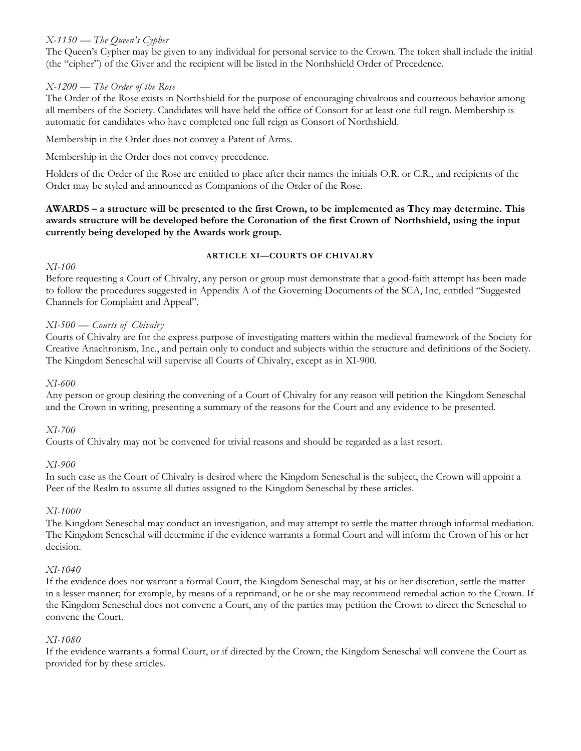# *X-1150 — The Queen's Cypher*

The Queen's Cypher may be given to any individual for personal service to the Crown. The token shall include the initial (the "cipher") of the Giver and the recipient will be listed in the Northshield Order of Precedence.

#### *X-1200 — The Order of the Rose*

The Order of the Rose exists in Northshield for the purpose of encouraging chivalrous and courteous behavior among all members of the Society. Candidates will have held the office of Consort for at least one full reign. Membership is automatic for candidates who have completed one full reign as Consort of Northshield.

Membership in the Order does not convey a Patent of Arms.

Membership in the Order does not convey precedence.

Holders of the Order of the Rose are entitled to place after their names the initials O.R. or C.R., and recipients of the Order may be styled and announced as Companions of the Order of the Rose.

#### **AWARDS – a structure will be presented to the first Crown, to be implemented as They may determine. This awards structure will be developed before the Coronation of the first Crown of Northshield, using the input currently being developed by the Awards work group.**

#### *XI-100*

#### **ARTICLE XI—COURTS OF CHIVALRY**

Before requesting a Court of Chivalry, any person or group must demonstrate that a good-faith attempt has been made to follow the procedures suggested in Appendix A of the Governing Documents of the SCA, Inc, entitled "Suggested Channels for Complaint and Appeal".

# *XI-500 — Courts of Chivalry*

Courts of Chivalry are for the express purpose of investigating matters within the medieval framework of the Society for Creative Anachronism, Inc., and pertain only to conduct and subjects within the structure and definitions of the Society. The Kingdom Seneschal will supervise all Courts of Chivalry, except as in XI-900.

#### *XI-600*

Any person or group desiring the convening of a Court of Chivalry for any reason will petition the Kingdom Seneschal and the Crown in writing, presenting a summary of the reasons for the Court and any evidence to be presented.

#### *XI-700*

Courts of Chivalry may not be convened for trivial reasons and should be regarded as a last resort.

#### *XI-900*

In such case as the Court of Chivalry is desired where the Kingdom Seneschal is the subject, the Crown will appoint a Peer of the Realm to assume all duties assigned to the Kingdom Seneschal by these articles.

#### *XI-1000*

The Kingdom Seneschal may conduct an investigation, and may attempt to settle the matter through informal mediation. The Kingdom Seneschal will determine if the evidence warrants a formal Court and will inform the Crown of his or her decision.

#### *XI-1040*

If the evidence does not warrant a formal Court, the Kingdom Seneschal may, at his or her discretion, settle the matter in a lesser manner; for example, by means of a reprimand, or he or she may recommend remedial action to the Crown. If the Kingdom Seneschal does not convene a Court, any of the parties may petition the Crown to direct the Seneschal to convene the Court.

#### *XI-1080*

If the evidence warrants a formal Court, or if directed by the Crown, the Kingdom Seneschal will convene the Court as provided for by these articles.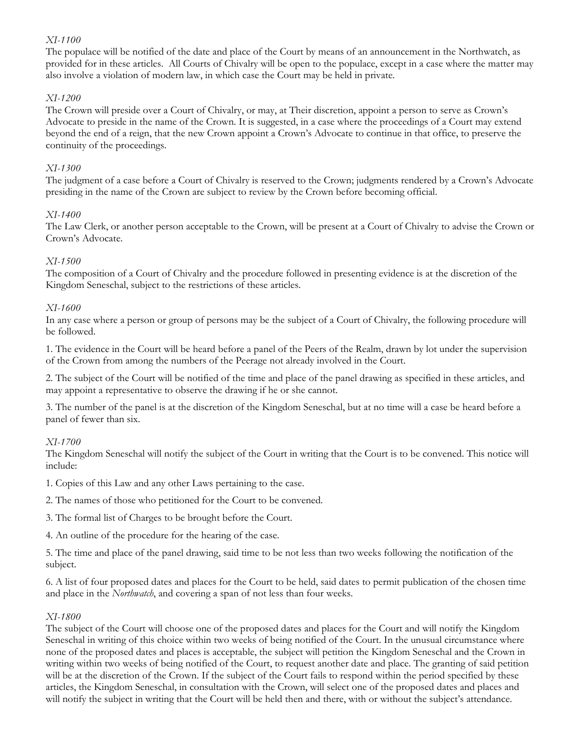#### *XI-1100*

The populace will be notified of the date and place of the Court by means of an announcement in the Northwatch, as provided for in these articles. All Courts of Chivalry will be open to the populace, except in a case where the matter may also involve a violation of modern law, in which case the Court may be held in private.

#### *XI-1200*

The Crown will preside over a Court of Chivalry, or may, at Their discretion, appoint a person to serve as Crown's Advocate to preside in the name of the Crown. It is suggested, in a case where the proceedings of a Court may extend beyond the end of a reign, that the new Crown appoint a Crown's Advocate to continue in that office, to preserve the continuity of the proceedings.

#### *XI-1300*

The judgment of a case before a Court of Chivalry is reserved to the Crown; judgments rendered by a Crown's Advocate presiding in the name of the Crown are subject to review by the Crown before becoming official.

# *XI-1400*

The Law Clerk, or another person acceptable to the Crown, will be present at a Court of Chivalry to advise the Crown or Crown's Advocate.

# *XI-1500*

The composition of a Court of Chivalry and the procedure followed in presenting evidence is at the discretion of the Kingdom Seneschal, subject to the restrictions of these articles.

# *XI-1600*

In any case where a person or group of persons may be the subject of a Court of Chivalry, the following procedure will be followed.

1. The evidence in the Court will be heard before a panel of the Peers of the Realm, drawn by lot under the supervision of the Crown from among the numbers of the Peerage not already involved in the Court.

2. The subject of the Court will be notified of the time and place of the panel drawing as specified in these articles, and may appoint a representative to observe the drawing if he or she cannot.

3. The number of the panel is at the discretion of the Kingdom Seneschal, but at no time will a case be heard before a panel of fewer than six.

#### *XI-1700*

The Kingdom Seneschal will notify the subject of the Court in writing that the Court is to be convened. This notice will include:

1. Copies of this Law and any other Laws pertaining to the case.

2. The names of those who petitioned for the Court to be convened.

3. The formal list of Charges to be brought before the Court.

4. An outline of the procedure for the hearing of the case.

5. The time and place of the panel drawing, said time to be not less than two weeks following the notification of the subject.

6. A list of four proposed dates and places for the Court to be held, said dates to permit publication of the chosen time and place in the *Northwatch*, and covering a span of not less than four weeks.

#### *XI-1800*

The subject of the Court will choose one of the proposed dates and places for the Court and will notify the Kingdom Seneschal in writing of this choice within two weeks of being notified of the Court. In the unusual circumstance where none of the proposed dates and places is acceptable, the subject will petition the Kingdom Seneschal and the Crown in writing within two weeks of being notified of the Court, to request another date and place. The granting of said petition will be at the discretion of the Crown. If the subject of the Court fails to respond within the period specified by these articles, the Kingdom Seneschal, in consultation with the Crown, will select one of the proposed dates and places and will notify the subject in writing that the Court will be held then and there, with or without the subject's attendance.